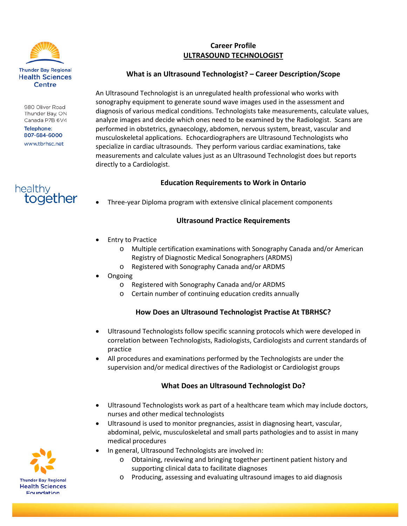

980 Oliver Road Thunder Bay, ON Canada P7B 6V4

Telephone: 807-684-6000 www.tbrhsc.net



# **Career Profile ULTRASOUND TECHNOLOGIST**

#### **What is an Ultrasound Technologist? – Career Description/Scope**

An Ultrasound Technologist is an unregulated health professional who works with sonography equipment to generate sound wave images used in the assessment and diagnosis of various medical conditions. Technologists take measurements, calculate values, analyze images and decide which ones need to be examined by the Radiologist. Scans are performed in obstetrics, gynaecology, abdomen, nervous system, breast, vascular and musculoskeletal applications. Echocardiographers are Ultrasound Technologists who specialize in cardiac ultrasounds. They perform various cardiac examinations, take measurements and calculate values just as an Ultrasound Technologist does but reports directly to a Cardiologist.

## **Education Requirements to Work in Ontario**

• Three-year Diploma program with extensive clinical placement components

## **Ultrasound Practice Requirements**

- **Entry to Practice** 
	- o Multiple certification examinations with Sonography Canada and/or American Registry of Diagnostic Medical Sonographers (ARDMS)
	- o Registered with Sonography Canada and/or ARDMS
- Ongoing
	- o Registered with Sonography Canada and/or ARDMS
	- o Certain number of continuing education credits annually

## **How Does an Ultrasound Technologist Practise At TBRHSC?**

- Ultrasound Technologists follow specific scanning protocols which were developed in correlation between Technologists, Radiologists, Cardiologists and current standards of practice
- All procedures and examinations performed by the Technologists are under the supervision and/or medical directives of the Radiologist or Cardiologist groups

## **What Does an Ultrasound Technologist Do?**

- Ultrasound Technologists work as part of a healthcare team which may include doctors, nurses and other medical technologists
- Ultrasound is used to monitor pregnancies, assist in diagnosing heart, vascular, abdominal, pelvic, musculoskeletal and small parts pathologies and to assist in many medical procedures
	- In general, Ultrasound Technologists are involved in:
		- o Obtaining, reviewing and bringing together pertinent patient history and supporting clinical data to facilitate diagnoses
		- o Producing, assessing and evaluating ultrasound images to aid diagnosis